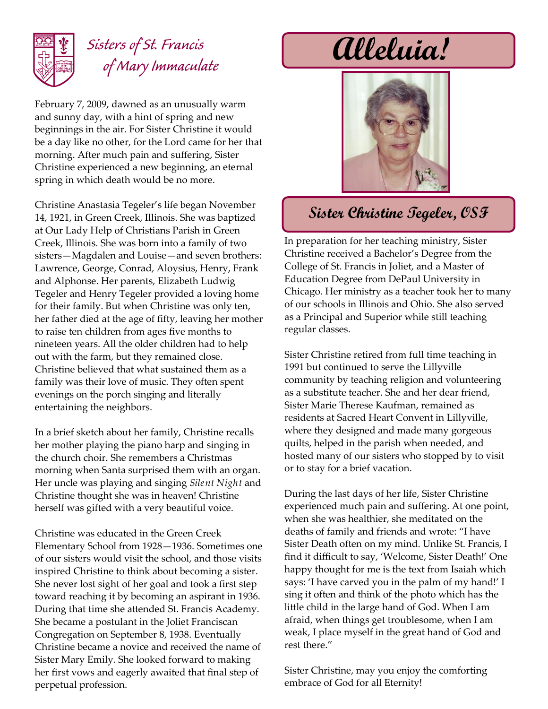

## *Sisters of St. Francis of Mary Immaculate*

February 7, 2009, dawned as an unusually warm and sunny day, with a hint of spring and new beginnings in the air. For Sister Christine it would be a day like no other, for the Lord came for her that morning. After much pain and suffering, Sister Christine experienced a new beginning, an eternal spring in which death would be no more.

Christine Anastasia Tegeler's life began November 14, 1921, in Green Creek, Illinois. She was baptized at Our Lady Help of Christians Parish in Green Creek, Illinois. She was born into a family of two sisters—Magdalen and Louise—and seven brothers: Lawrence, George, Conrad, Aloysius, Henry, Frank and Alphonse. Her parents, Elizabeth Ludwig Tegeler and Henry Tegeler provided a loving home for their family. But when Christine was only ten, her father died at the age of fifty, leaving her mother to raise ten children from ages five months to nineteen years. All the older children had to help out with the farm, but they remained close. Christine believed that what sustained them as a family was their love of music. They often spent evenings on the porch singing and literally entertaining the neighbors.

In a brief sketch about her family, Christine recalls her mother playing the piano harp and singing in the church choir. She remembers a Christmas morning when Santa surprised them with an organ. Her uncle was playing and singing *Silent Night* and Christine thought she was in heaven! Christine herself was gifted with a very beautiful voice.

Christine was educated in the Green Creek Elementary School from 1928—1936. Sometimes one of our sisters would visit the school, and those visits inspired Christine to think about becoming a sister. She never lost sight of her goal and took a first step toward reaching it by becoming an aspirant in 1936. During that time she attended St. Francis Academy. She became a postulant in the Joliet Franciscan Congregation on September 8, 1938. Eventually Christine became a novice and received the name of Sister Mary Emily. She looked forward to making her first vows and eagerly awaited that final step of perpetual profession.

**Alleluia!**



## **Sister Christine Tegeler, OSF**

In preparation for her teaching ministry, Sister Christine received a Bachelor's Degree from the College of St. Francis in Joliet, and a Master of Education Degree from DePaul University in Chicago. Her ministry as a teacher took her to many of our schools in Illinois and Ohio. She also served as a Principal and Superior while still teaching regular classes.

Sister Christine retired from full time teaching in 1991 but continued to serve the Lillyville community by teaching religion and volunteering as a substitute teacher. She and her dear friend, Sister Marie Therese Kaufman, remained as residents at Sacred Heart Convent in Lillyville, where they designed and made many gorgeous quilts, helped in the parish when needed, and hosted many of our sisters who stopped by to visit or to stay for a brief vacation.

During the last days of her life, Sister Christine experienced much pain and suffering. At one point, when she was healthier, she meditated on the deaths of family and friends and wrote: "I have Sister Death often on my mind. Unlike St. Francis, I find it difficult to say, 'Welcome, Sister Death!' One happy thought for me is the text from Isaiah which says: 'I have carved you in the palm of my hand!' I sing it often and think of the photo which has the little child in the large hand of God. When I am afraid, when things get troublesome, when I am weak, I place myself in the great hand of God and rest there."

Sister Christine, may you enjoy the comforting embrace of God for all Eternity!